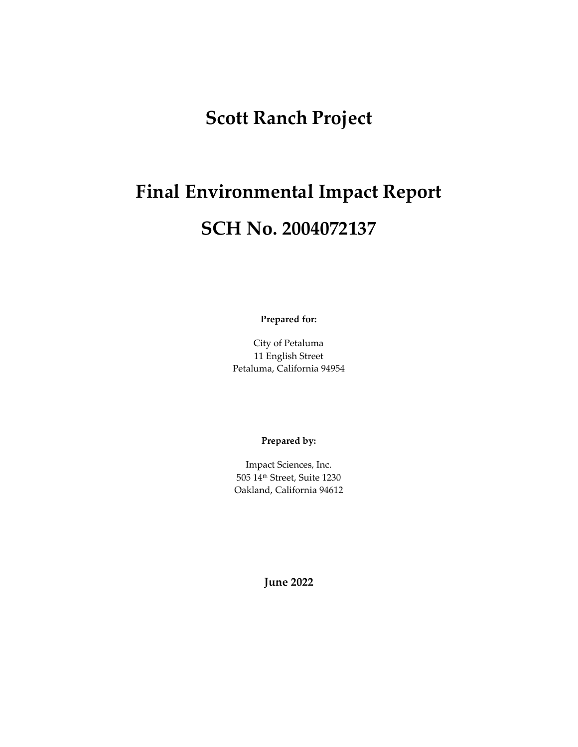# **Scott Ranch Project**

# **Final Environmental Impact Report SCH No. 2004072137**

**Prepared for:**

City of Petaluma 11 English Street Petaluma, California 94954

#### **Prepared by:**

Impact Sciences, Inc. 505 14th Street, Suite 1230 Oakland, California 94612

**June 2022**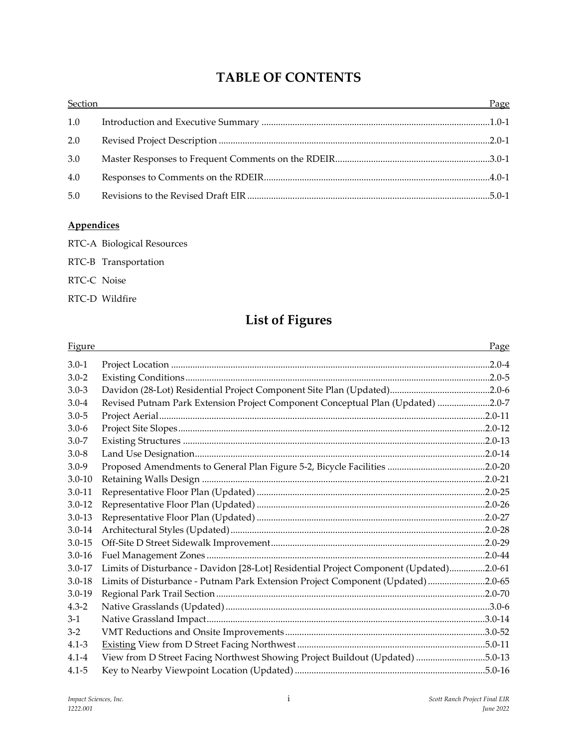### **TABLE OF CONTENTS**

| Section | <u> 1989 - John Stone, amerikansk politiker (* 1989)</u> | Page |
|---------|----------------------------------------------------------|------|
| 1.0     |                                                          |      |
| 2.0     |                                                          |      |
| 3.0     |                                                          |      |
| 4.0     |                                                          |      |
| 5.0     |                                                          |      |

#### **Appendices**

- RTC-A Biological Resources
- RTC-B Transportation
- RTC-C Noise
- RTC-D Wildfire

## **List of Figures**

| <b>Figure</b> |                                                                                        | Page |
|---------------|----------------------------------------------------------------------------------------|------|
| $3.0 - 1$     |                                                                                        |      |
| $3.0 - 2$     |                                                                                        |      |
| $3.0 - 3$     |                                                                                        |      |
| $3.0 - 4$     | Revised Putnam Park Extension Project Component Conceptual Plan (Updated) 2.0-7        |      |
| $3.0 - 5$     |                                                                                        |      |
| $3.0 - 6$     |                                                                                        |      |
| $3.0 - 7$     |                                                                                        |      |
| $3.0 - 8$     |                                                                                        |      |
| $3.0 - 9$     |                                                                                        |      |
| $3.0 - 10$    |                                                                                        |      |
| $3.0 - 11$    |                                                                                        |      |
| $3.0 - 12$    |                                                                                        |      |
| $3.0 - 13$    |                                                                                        |      |
| $3.0 - 14$    |                                                                                        |      |
| $3.0 - 15$    |                                                                                        |      |
| $3.0 - 16$    |                                                                                        |      |
| $3.0 - 17$    | Limits of Disturbance - Davidon [28-Lot] Residential Project Component (Updated)2.0-61 |      |
| $3.0 - 18$    | Limits of Disturbance - Putnam Park Extension Project Component (Updated) 2.0-65       |      |
| $3.0 - 19$    |                                                                                        |      |
| $4.3 - 2$     |                                                                                        |      |
| $3-1$         |                                                                                        |      |
| $3-2$         |                                                                                        |      |
| $4.1 - 3$     |                                                                                        |      |
| $4.1 - 4$     | View from D Street Facing Northwest Showing Project Buildout (Updated) 5.0-13          |      |
| $4.1 - 5$     |                                                                                        |      |